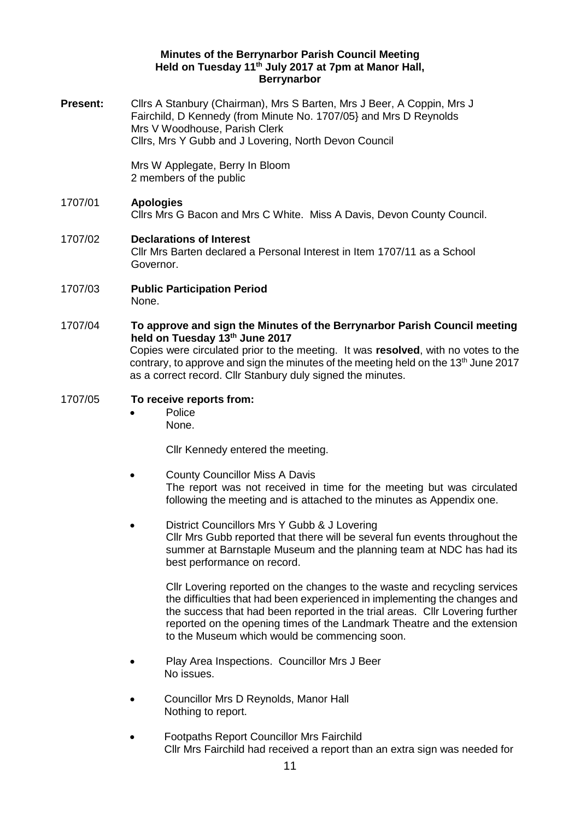## **Minutes of the Berrynarbor Parish Council Meeting Held on Tuesday 11th July 2017 at 7pm at Manor Hall, Berrynarbor**

**Present:** Cllrs A Stanbury (Chairman), Mrs S Barten, Mrs J Beer, A Coppin, Mrs J Fairchild, D Kennedy (from Minute No. 1707/05} and Mrs D Reynolds Mrs V Woodhouse, Parish Clerk Cllrs, Mrs Y Gubb and J Lovering, North Devon Council

> Mrs W Applegate, Berry In Bloom 2 members of the public

# 1707/01 **Apologies**  Cllrs Mrs G Bacon and Mrs C White. Miss A Davis, Devon County Council.

## 1707/02 **Declarations of Interest**  Cllr Mrs Barten declared a Personal Interest in Item 1707/11 as a School Governor.

- 1707/03 **Public Participation Period**  None.
- 1707/04 **To approve and sign the Minutes of the Berrynarbor Parish Council meeting held on Tuesday 13th June 2017** Copies were circulated prior to the meeting. It was **resolved**, with no votes to the contrary, to approve and sign the minutes of the meeting held on the  $13<sup>th</sup>$  June 2017 as a correct record. Cllr Stanbury duly signed the minutes.

# 1707/05 **To receive reports from:**

 Police None.

Cllr Kennedy entered the meeting.

- County Councillor Miss A Davis The report was not received in time for the meeting but was circulated following the meeting and is attached to the minutes as Appendix one.
- District Councillors Mrs Y Gubb & J Lovering Cllr Mrs Gubb reported that there will be several fun events throughout the summer at Barnstaple Museum and the planning team at NDC has had its best performance on record.

Cllr Lovering reported on the changes to the waste and recycling services the difficulties that had been experienced in implementing the changes and the success that had been reported in the trial areas. Cllr Lovering further reported on the opening times of the Landmark Theatre and the extension to the Museum which would be commencing soon.

- Play Area Inspections. Councillor Mrs J Beer No issues.
- Councillor Mrs D Reynolds, Manor Hall Nothing to report.
- Footpaths Report Councillor Mrs Fairchild Cllr Mrs Fairchild had received a report than an extra sign was needed for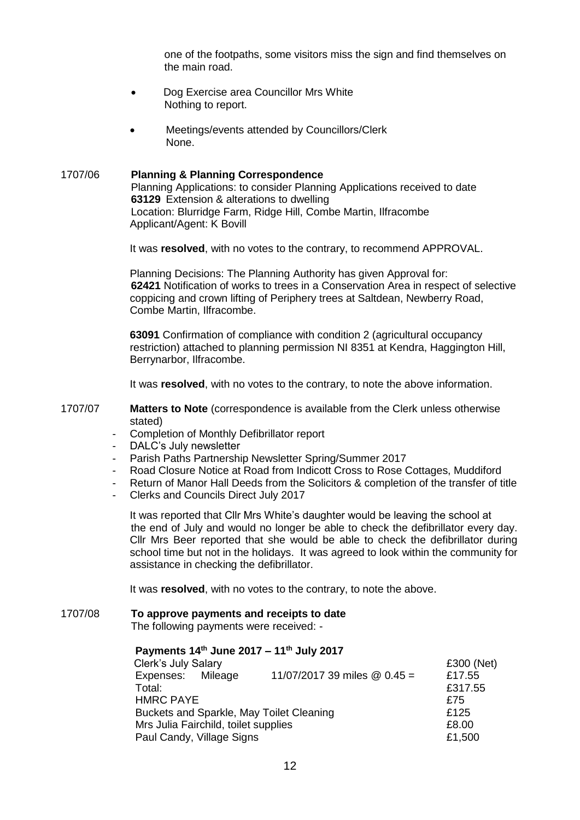one of the footpaths, some visitors miss the sign and find themselves on the main road.

- Dog Exercise area Councillor Mrs White Nothing to report.
- Meetings/events attended by Councillors/Clerk None.

#### 1707/06 **Planning & Planning Correspondence**

Planning Applications: to consider Planning Applications received to date **63129** Extension & alterations to dwelling Location: Blurridge Farm, Ridge Hill, Combe Martin, Ilfracombe Applicant/Agent: K Bovill

It was **resolved**, with no votes to the contrary, to recommend APPROVAL.

Planning Decisions: The Planning Authority has given Approval for: **62421** Notification of works to trees in a Conservation Area in respect of selective coppicing and crown lifting of Periphery trees at Saltdean, Newberry Road, Combe Martin, Ilfracombe.

**63091** Confirmation of compliance with condition 2 (agricultural occupancy restriction) attached to planning permission NI 8351 at Kendra, Haggington Hill, Berrynarbor, Ilfracombe.

It was **resolved**, with no votes to the contrary, to note the above information.

1707/07 **Matters to Note** (correspondence is available from the Clerk unless otherwise stated)

- Completion of Monthly Defibrillator report
- DALC's July newsletter
- Parish Paths Partnership Newsletter Spring/Summer 2017
- Road Closure Notice at Road from Indicott Cross to Rose Cottages, Muddiford
- Return of Manor Hall Deeds from the Solicitors & completion of the transfer of title
- Clerks and Councils Direct July 2017

It was reported that Cllr Mrs White's daughter would be leaving the school at the end of July and would no longer be able to check the defibrillator every day. Cllr Mrs Beer reported that she would be able to check the defibrillator during school time but not in the holidays. It was agreed to look within the community for assistance in checking the defibrillator.

It was **resolved**, with no votes to the contrary, to note the above.

# 1707/08 **To approve payments and receipts to date**

The following payments were received: -

# **Payments 14th June 2017 – 11th July 2017**

| Clerk's July Salary                      |  |                                | £300 (Net) |
|------------------------------------------|--|--------------------------------|------------|
| Expenses: Mileage                        |  | 11/07/2017 39 miles $@$ 0.45 = | £17.55     |
| Total:                                   |  |                                | £317.55    |
| <b>HMRC PAYE</b>                         |  |                                | £75        |
| Buckets and Sparkle, May Toilet Cleaning |  |                                | £125       |
| Mrs Julia Fairchild, toilet supplies     |  |                                | £8.00      |
| Paul Candy, Village Signs                |  |                                | £1,500     |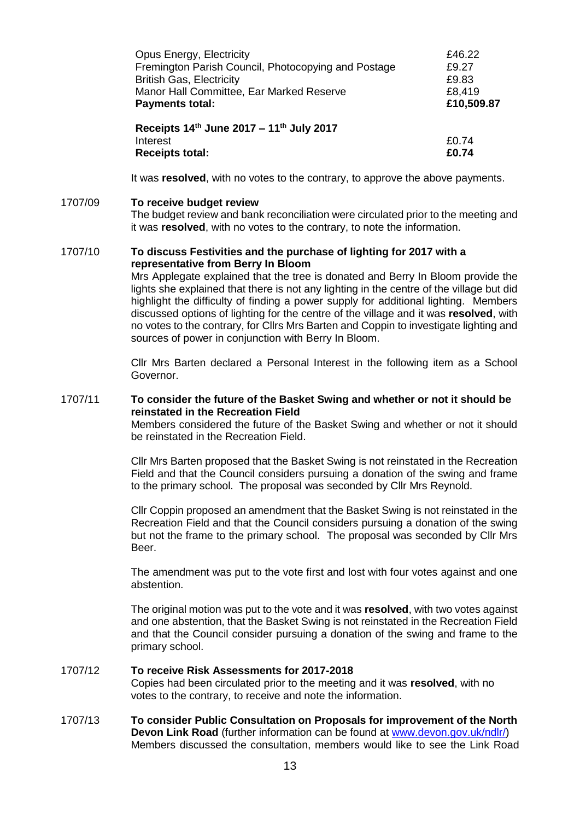| Opus Energy, Electricity                            | £46.22     |
|-----------------------------------------------------|------------|
| Fremington Parish Council, Photocopying and Postage | £9.27      |
| <b>British Gas, Electricity</b>                     | £9.83      |
| Manor Hall Committee, Ear Marked Reserve            | £8,419     |
| <b>Payments total:</b>                              | £10,509.87 |
| Receipts 14th June 2017 - 11th July 2017            |            |
| Interest                                            | £0.74      |
| <b>Receipts total:</b>                              | £0.74      |

It was **resolved**, with no votes to the contrary, to approve the above payments.

#### 1707/09 **To receive budget review**

The budget review and bank reconciliation were circulated prior to the meeting and it was **resolved**, with no votes to the contrary, to note the information.

#### 1707/10 **To discuss Festivities and the purchase of lighting for 2017 with a representative from Berry In Bloom**

Mrs Applegate explained that the tree is donated and Berry In Bloom provide the lights she explained that there is not any lighting in the centre of the village but did highlight the difficulty of finding a power supply for additional lighting. Members discussed options of lighting for the centre of the village and it was **resolved**, with no votes to the contrary, for Cllrs Mrs Barten and Coppin to investigate lighting and sources of power in conjunction with Berry In Bloom.

Cllr Mrs Barten declared a Personal Interest in the following item as a School Governor.

#### 1707/11 **To consider the future of the Basket Swing and whether or not it should be reinstated in the Recreation Field**

Members considered the future of the Basket Swing and whether or not it should be reinstated in the Recreation Field.

Cllr Mrs Barten proposed that the Basket Swing is not reinstated in the Recreation Field and that the Council considers pursuing a donation of the swing and frame to the primary school. The proposal was seconded by Cllr Mrs Reynold.

Cllr Coppin proposed an amendment that the Basket Swing is not reinstated in the Recreation Field and that the Council considers pursuing a donation of the swing but not the frame to the primary school. The proposal was seconded by Cllr Mrs Beer.

The amendment was put to the vote first and lost with four votes against and one abstention.

The original motion was put to the vote and it was **resolved**, with two votes against and one abstention, that the Basket Swing is not reinstated in the Recreation Field and that the Council consider pursuing a donation of the swing and frame to the primary school.

### 1707/12 **To receive Risk Assessments for 2017-2018**

Copies had been circulated prior to the meeting and it was **resolved**, with no votes to the contrary, to receive and note the information.

1707/13 **To consider Public Consultation on Proposals for improvement of the North Devon Link Road** (further information can be found at [www.devon.gov.uk/ndlr/\)](http://www.devon.gov.uk/ndlr/) Members discussed the consultation, members would like to see the Link Road